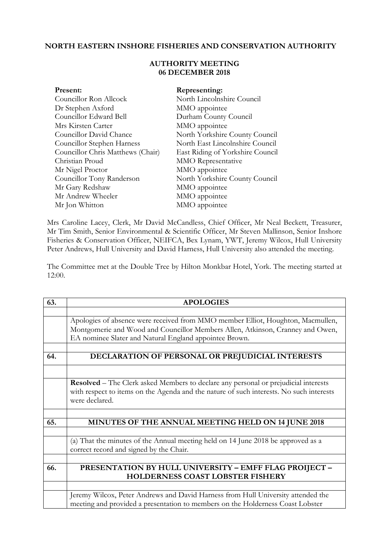## **NORTH EASTERN INSHORE FISHERIES AND CONSERVATION AUTHORITY**

## **AUTHORITY MEETING 06 DECEMBER 2018**

| Present:                          | Representing:                    |
|-----------------------------------|----------------------------------|
| Councillor Ron Allcock            | North Lincolnshire Council       |
| Dr Stephen Axford                 | MMO appointee                    |
| Councillor Edward Bell            | Durham County Council            |
| Mrs Kirsten Carter                | MMO appointee                    |
| Councillor David Chance           | North Yorkshire County Council   |
| Councillor Stephen Harness        | North East Lincolnshire Council  |
| Councillor Chris Matthews (Chair) | East Riding of Yorkshire Council |
| Christian Proud                   | <b>MMO</b> Representative        |
| Mr Nigel Proctor                  | MMO appointee                    |
| Councillor Tony Randerson         | North Yorkshire County Council   |
| Mr Gary Redshaw                   | MMO appointee                    |
| Mr Andrew Wheeler                 | MMO appointee                    |
| Mr Jon Whitton                    | MMO appointee                    |

Mrs Caroline Lacey, Clerk, Mr David McCandless, Chief Officer, Mr Neal Beckett, Treasurer, Mr Tim Smith, Senior Environmental & Scientific Officer, Mr Steven Mallinson, Senior Inshore Fisheries & Conservation Officer, NEIFCA, Bex Lynam, YWT, Jeremy Wilcox, Hull University Peter Andrews, Hull University and David Harness, Hull University also attended the meeting.

The Committee met at the Double Tree by Hilton Monkbar Hotel, York. The meeting started at 12:00.

| <b>APOLOGIES</b>                                                                           |
|--------------------------------------------------------------------------------------------|
|                                                                                            |
| Apologies of absence were received from MMO member Elliot, Houghton, Macmullen,            |
| Montgomerie and Wood and Councillor Members Allen, Atkinson, Cranney and Owen,             |
| EA nominee Slater and Natural England appointee Brown.                                     |
|                                                                                            |
| DECLARATION OF PERSONAL OR PREJUDICIAL INTERESTS                                           |
|                                                                                            |
| <b>Resolved</b> – The Clerk asked Members to declare any personal or prejudicial interests |
| with respect to items on the Agenda and the nature of such interests. No such interests    |
| were declared.                                                                             |
|                                                                                            |
| MINUTES OF THE ANNUAL MEETING HELD ON 14 JUNE 2018                                         |
|                                                                                            |
| (a) That the minutes of the Annual meeting held on 14 June 2018 be approved as a           |
| correct record and signed by the Chair.                                                    |
|                                                                                            |
| PRESENTATION BY HULL UNIVERSITY - EMFF FLAG PROIJECT -                                     |
| <b>HOLDERNESS COAST LOBSTER FISHERY</b>                                                    |
|                                                                                            |
| Jeremy Wilcox, Peter Andrews and David Harness from Hull University attended the           |
| meeting and provided a presentation to members on the Holderness Coast Lobster             |
|                                                                                            |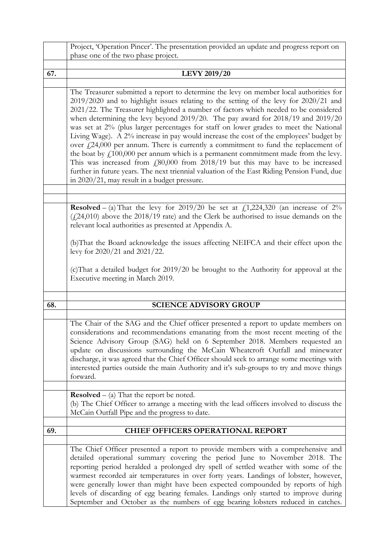|     | Project, 'Operation Pincer'. The presentation provided an update and progress report on                                                                                                                                                                                                                                                                                                                                                                                                                                                                                                                                                                                                                                                                                                                                                                                                                                                                                                                                  |
|-----|--------------------------------------------------------------------------------------------------------------------------------------------------------------------------------------------------------------------------------------------------------------------------------------------------------------------------------------------------------------------------------------------------------------------------------------------------------------------------------------------------------------------------------------------------------------------------------------------------------------------------------------------------------------------------------------------------------------------------------------------------------------------------------------------------------------------------------------------------------------------------------------------------------------------------------------------------------------------------------------------------------------------------|
|     | phase one of the two phase project.                                                                                                                                                                                                                                                                                                                                                                                                                                                                                                                                                                                                                                                                                                                                                                                                                                                                                                                                                                                      |
|     |                                                                                                                                                                                                                                                                                                                                                                                                                                                                                                                                                                                                                                                                                                                                                                                                                                                                                                                                                                                                                          |
| 67. | <b>LEVY 2019/20</b>                                                                                                                                                                                                                                                                                                                                                                                                                                                                                                                                                                                                                                                                                                                                                                                                                                                                                                                                                                                                      |
|     | The Treasurer submitted a report to determine the levy on member local authorities for<br>2019/2020 and to highlight issues relating to the setting of the levy for 2020/21 and<br>2021/22. The Treasurer highlighted a number of factors which needed to be considered<br>when determining the levy beyond 2019/20. The pay award for 2018/19 and 2019/20<br>was set at 2% (plus larger percentages for staff on lower grades to meet the National<br>Living Wage). A 2% increase in pay would increase the cost of the employees' budget by<br>over $\text{\textsterling}24,000$ per annum. There is currently a commitment to fund the replacement of<br>the boat by $\text{\textsterling}100,000$ per annum which is a permanent commitment made from the levy.<br>This was increased from $\text{\textsterling}80,000$ from 2018/19 but this may have to be increased<br>further in future years. The next triennial valuation of the East Riding Pension Fund, due<br>in 2020/21, may result in a budget pressure. |
|     |                                                                                                                                                                                                                                                                                                                                                                                                                                                                                                                                                                                                                                                                                                                                                                                                                                                                                                                                                                                                                          |
|     | <b>Resolved</b> – (a) That the levy for 2019/20 be set at £1,224,320 (an increase of $2\%$<br>$(\text{\textsterling}24,010)$ above the 2018/19 rate) and the Clerk be authorised to issue demands on the<br>relevant local authorities as presented at Appendix A.                                                                                                                                                                                                                                                                                                                                                                                                                                                                                                                                                                                                                                                                                                                                                       |
|     | (b) That the Board acknowledge the issues affecting NEIFCA and their effect upon the<br>levy for 2020/21 and 2021/22.                                                                                                                                                                                                                                                                                                                                                                                                                                                                                                                                                                                                                                                                                                                                                                                                                                                                                                    |
|     | (c) That a detailed budget for 2019/20 be brought to the Authority for approval at the<br>Executive meeting in March 2019.                                                                                                                                                                                                                                                                                                                                                                                                                                                                                                                                                                                                                                                                                                                                                                                                                                                                                               |
|     |                                                                                                                                                                                                                                                                                                                                                                                                                                                                                                                                                                                                                                                                                                                                                                                                                                                                                                                                                                                                                          |
| 68. | <b>SCIENCE ADVISORY GROUP</b>                                                                                                                                                                                                                                                                                                                                                                                                                                                                                                                                                                                                                                                                                                                                                                                                                                                                                                                                                                                            |
|     | The Chair of the SAG and the Chief officer presented a report to update members on<br>considerations and recommendations emanating from the most recent meeting of the<br>Science Advisory Group (SAG) held on 6 September 2018. Members requested an<br>update on discussions surrounding the McCain Wheatcroft Outfall and minewater<br>discharge, it was agreed that the Chief Officer should seek to arrange some meetings with<br>interested parties outside the main Authority and it's sub-groups to try and move things<br>forward.                                                                                                                                                                                                                                                                                                                                                                                                                                                                              |
|     | <b>Resolved</b> $-$ (a) That the report be noted.<br>(b) The Chief Officer to arrange a meeting with the lead officers involved to discuss the<br>McCain Outfall Pipe and the progress to date.                                                                                                                                                                                                                                                                                                                                                                                                                                                                                                                                                                                                                                                                                                                                                                                                                          |
| 69. | <b>CHIEF OFFICERS OPERATIONAL REPORT</b>                                                                                                                                                                                                                                                                                                                                                                                                                                                                                                                                                                                                                                                                                                                                                                                                                                                                                                                                                                                 |
|     |                                                                                                                                                                                                                                                                                                                                                                                                                                                                                                                                                                                                                                                                                                                                                                                                                                                                                                                                                                                                                          |
|     | The Chief Officer presented a report to provide members with a comprehensive and<br>detailed operational summary covering the period June to November 2018. The<br>reporting period heralded a prolonged dry spell of settled weather with some of the<br>warmest recorded air temperatures in over forty years. Landings of lobster, however,<br>were generally lower than might have been expected compounded by reports of high<br>levels of discarding of egg bearing females. Landings only started to improve during<br>September and October as the numbers of egg bearing lobsters reduced in catches.                                                                                                                                                                                                                                                                                                                                                                                                           |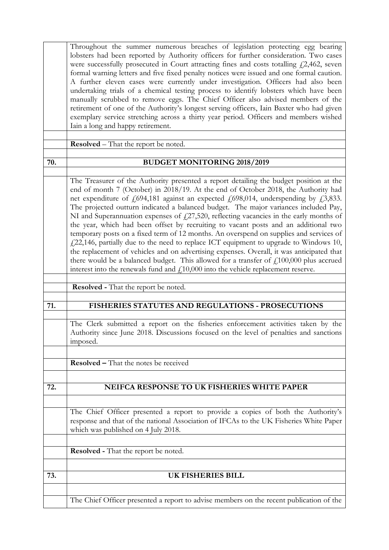|     | Throughout the summer numerous breaches of legislation protecting egg bearing<br>lobsters had been reported by Authority officers for further consideration. Two cases<br>were successfully prosecuted in Court attracting fines and costs totalling $f(2, 462, 80)$ seven<br>formal warning letters and five fixed penalty notices were issued and one formal caution.<br>A further eleven cases were currently under investigation. Officers had also been<br>undertaking trials of a chemical testing process to identify lobsters which have been<br>manually scrubbed to remove eggs. The Chief Officer also advised members of the<br>retirement of one of the Authority's longest serving officers, Iain Baxter who had given<br>exemplary service stretching across a thirty year period. Officers and members wished<br>Iain a long and happy retirement.                                                                                                                                                                                    |
|-----|-------------------------------------------------------------------------------------------------------------------------------------------------------------------------------------------------------------------------------------------------------------------------------------------------------------------------------------------------------------------------------------------------------------------------------------------------------------------------------------------------------------------------------------------------------------------------------------------------------------------------------------------------------------------------------------------------------------------------------------------------------------------------------------------------------------------------------------------------------------------------------------------------------------------------------------------------------------------------------------------------------------------------------------------------------|
|     | <b>Resolved</b> – That the report be noted.                                                                                                                                                                                                                                                                                                                                                                                                                                                                                                                                                                                                                                                                                                                                                                                                                                                                                                                                                                                                           |
|     |                                                                                                                                                                                                                                                                                                                                                                                                                                                                                                                                                                                                                                                                                                                                                                                                                                                                                                                                                                                                                                                       |
| 70. | <b>BUDGET MONITORING 2018/2019</b>                                                                                                                                                                                                                                                                                                                                                                                                                                                                                                                                                                                                                                                                                                                                                                                                                                                                                                                                                                                                                    |
|     | The Treasurer of the Authority presented a report detailing the budget position at the<br>end of month 7 (October) in 2018/19. At the end of October 2018, the Authority had<br>net expenditure of $f(694,181)$ against an expected $f(698,014)$ , underspending by $f(3,833)$ .<br>The projected outturn indicated a balanced budget. The major variances included Pay,<br>NI and Superannuation expenses of $f(27,520)$ , reflecting vacancies in the early months of<br>the year, which had been offset by recruiting to vacant posts and an additional two<br>temporary posts on a fixed term of 12 months. An overspend on supplies and services of<br>£22,146, partially due to the need to replace ICT equipment to upgrade to Windows 10,<br>the replacement of vehicles and on advertising expenses. Overall, it was anticipated that<br>there would be a balanced budget. This allowed for a transfer of $\text{\textsterling}100,000$ plus accrued<br>interest into the renewals fund and $f110,000$ into the vehicle replacement reserve. |
|     | Resolved - That the report be noted.                                                                                                                                                                                                                                                                                                                                                                                                                                                                                                                                                                                                                                                                                                                                                                                                                                                                                                                                                                                                                  |
|     |                                                                                                                                                                                                                                                                                                                                                                                                                                                                                                                                                                                                                                                                                                                                                                                                                                                                                                                                                                                                                                                       |
| 71. | FISHERIES STATUTES AND REGULATIONS - PROSECUTIONS                                                                                                                                                                                                                                                                                                                                                                                                                                                                                                                                                                                                                                                                                                                                                                                                                                                                                                                                                                                                     |
|     | The Clerk submitted a report on the fisheries enforcement activities taken by the<br>Authority since June 2018. Discussions focused on the level of penalties and sanctions<br>imposed.                                                                                                                                                                                                                                                                                                                                                                                                                                                                                                                                                                                                                                                                                                                                                                                                                                                               |
|     | <b>Resolved - That the notes be received</b>                                                                                                                                                                                                                                                                                                                                                                                                                                                                                                                                                                                                                                                                                                                                                                                                                                                                                                                                                                                                          |
|     |                                                                                                                                                                                                                                                                                                                                                                                                                                                                                                                                                                                                                                                                                                                                                                                                                                                                                                                                                                                                                                                       |
| 72. | NEIFCA RESPONSE TO UK FISHERIES WHITE PAPER                                                                                                                                                                                                                                                                                                                                                                                                                                                                                                                                                                                                                                                                                                                                                                                                                                                                                                                                                                                                           |
|     | The Chief Officer presented a report to provide a copies of both the Authority's                                                                                                                                                                                                                                                                                                                                                                                                                                                                                                                                                                                                                                                                                                                                                                                                                                                                                                                                                                      |
|     | response and that of the national Association of IFCAs to the UK Fisheries White Paper<br>which was published on 4 July 2018.                                                                                                                                                                                                                                                                                                                                                                                                                                                                                                                                                                                                                                                                                                                                                                                                                                                                                                                         |
|     | <b>Resolved</b> - That the report be noted.                                                                                                                                                                                                                                                                                                                                                                                                                                                                                                                                                                                                                                                                                                                                                                                                                                                                                                                                                                                                           |
|     |                                                                                                                                                                                                                                                                                                                                                                                                                                                                                                                                                                                                                                                                                                                                                                                                                                                                                                                                                                                                                                                       |
| 73. | <b>UK FISHERIES BILL</b>                                                                                                                                                                                                                                                                                                                                                                                                                                                                                                                                                                                                                                                                                                                                                                                                                                                                                                                                                                                                                              |
|     | The Chief Officer presented a report to advise members on the recent publication of the                                                                                                                                                                                                                                                                                                                                                                                                                                                                                                                                                                                                                                                                                                                                                                                                                                                                                                                                                               |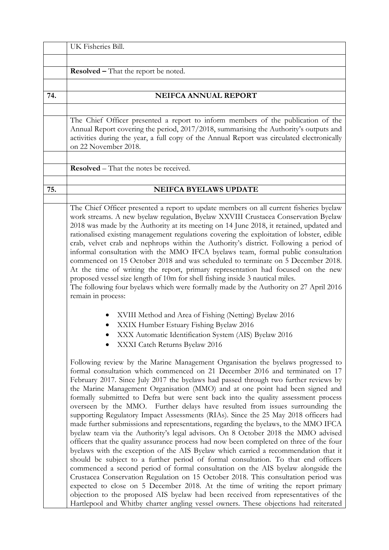|     | UK Fisheries Bill.                                                                                                                                                                                                                                                                                                                                                                                                                                                                                                                                                                                                                                                                                                                                                                                                                                                                                                                                                                                                                                                                                                                                                                                                                                                                                                                                                                                                                                                                                      |
|-----|---------------------------------------------------------------------------------------------------------------------------------------------------------------------------------------------------------------------------------------------------------------------------------------------------------------------------------------------------------------------------------------------------------------------------------------------------------------------------------------------------------------------------------------------------------------------------------------------------------------------------------------------------------------------------------------------------------------------------------------------------------------------------------------------------------------------------------------------------------------------------------------------------------------------------------------------------------------------------------------------------------------------------------------------------------------------------------------------------------------------------------------------------------------------------------------------------------------------------------------------------------------------------------------------------------------------------------------------------------------------------------------------------------------------------------------------------------------------------------------------------------|
|     |                                                                                                                                                                                                                                                                                                                                                                                                                                                                                                                                                                                                                                                                                                                                                                                                                                                                                                                                                                                                                                                                                                                                                                                                                                                                                                                                                                                                                                                                                                         |
|     | <b>Resolved - That the report be noted.</b>                                                                                                                                                                                                                                                                                                                                                                                                                                                                                                                                                                                                                                                                                                                                                                                                                                                                                                                                                                                                                                                                                                                                                                                                                                                                                                                                                                                                                                                             |
|     |                                                                                                                                                                                                                                                                                                                                                                                                                                                                                                                                                                                                                                                                                                                                                                                                                                                                                                                                                                                                                                                                                                                                                                                                                                                                                                                                                                                                                                                                                                         |
| 74. | NEIFCA ANNUAL REPORT                                                                                                                                                                                                                                                                                                                                                                                                                                                                                                                                                                                                                                                                                                                                                                                                                                                                                                                                                                                                                                                                                                                                                                                                                                                                                                                                                                                                                                                                                    |
|     |                                                                                                                                                                                                                                                                                                                                                                                                                                                                                                                                                                                                                                                                                                                                                                                                                                                                                                                                                                                                                                                                                                                                                                                                                                                                                                                                                                                                                                                                                                         |
|     | The Chief Officer presented a report to inform members of the publication of the<br>Annual Report covering the period, 2017/2018, summarising the Authority's outputs and<br>activities during the year, a full copy of the Annual Report was circulated electronically<br>on 22 November 2018.                                                                                                                                                                                                                                                                                                                                                                                                                                                                                                                                                                                                                                                                                                                                                                                                                                                                                                                                                                                                                                                                                                                                                                                                         |
|     |                                                                                                                                                                                                                                                                                                                                                                                                                                                                                                                                                                                                                                                                                                                                                                                                                                                                                                                                                                                                                                                                                                                                                                                                                                                                                                                                                                                                                                                                                                         |
|     | <b>Resolved</b> – That the notes be received.                                                                                                                                                                                                                                                                                                                                                                                                                                                                                                                                                                                                                                                                                                                                                                                                                                                                                                                                                                                                                                                                                                                                                                                                                                                                                                                                                                                                                                                           |
|     |                                                                                                                                                                                                                                                                                                                                                                                                                                                                                                                                                                                                                                                                                                                                                                                                                                                                                                                                                                                                                                                                                                                                                                                                                                                                                                                                                                                                                                                                                                         |
| 75. | <b>NEIFCA BYELAWS UPDATE</b>                                                                                                                                                                                                                                                                                                                                                                                                                                                                                                                                                                                                                                                                                                                                                                                                                                                                                                                                                                                                                                                                                                                                                                                                                                                                                                                                                                                                                                                                            |
|     | The Chief Officer presented a report to update members on all current fisheries byelaw<br>work streams. A new byelaw regulation, Byelaw XXVIII Crustacea Conservation Byelaw<br>2018 was made by the Authority at its meeting on 14 June 2018, it retained, updated and<br>rationalised existing management regulations covering the exploitation of lobster, edible<br>crab, velvet crab and nephrops within the Authority's district. Following a period of<br>informal consultation with the MMO IFCA byelaws team, formal public consultation<br>commenced on 15 October 2018 and was scheduled to terminate on 5 December 2018.<br>At the time of writing the report, primary representation had focused on the new<br>proposed vessel size length of 10m for shell fishing inside 3 nautical miles.<br>The following four byelaws which were formally made by the Authority on 27 April 2016<br>remain in process:                                                                                                                                                                                                                                                                                                                                                                                                                                                                                                                                                                                |
|     | XVIII Method and Area of Fishing (Netting) Byelaw 2016<br>XXIX Humber Estuary Fishing Byelaw 2016<br>XXX Automatic Identification System (AIS) Byelaw 2016<br>XXXI Catch Returns Byelaw 2016                                                                                                                                                                                                                                                                                                                                                                                                                                                                                                                                                                                                                                                                                                                                                                                                                                                                                                                                                                                                                                                                                                                                                                                                                                                                                                            |
|     | Following review by the Marine Management Organisation the byelaws progressed to<br>formal consultation which commenced on 21 December 2016 and terminated on 17<br>February 2017. Since July 2017 the byelaws had passed through two further reviews by<br>the Marine Management Organisation (MMO) and at one point had been signed and<br>formally submitted to Defra but were sent back into the quality assessment process<br>overseen by the MMO. Further delays have resulted from issues surrounding the<br>supporting Regulatory Impact Assessments (RIAs). Since the 25 May 2018 officers had<br>made further submissions and representations, regarding the byelaws, to the MMO IFCA<br>byelaw team via the Authority's legal advisors. On 8 October 2018 the MMO advised<br>officers that the quality assurance process had now been completed on three of the four<br>byelaws with the exception of the AIS Byelaw which carried a recommendation that it<br>should be subject to a further period of formal consultation. To that end officers<br>commenced a second period of formal consultation on the AIS byelaw alongside the<br>Crustacea Conservation Regulation on 15 October 2018. This consultation period was<br>expected to close on 5 December 2018. At the time of writing the report primary<br>objection to the proposed AIS byelaw had been received from representatives of the<br>Hartlepool and Whitby charter angling vessel owners. These objections had reiterated |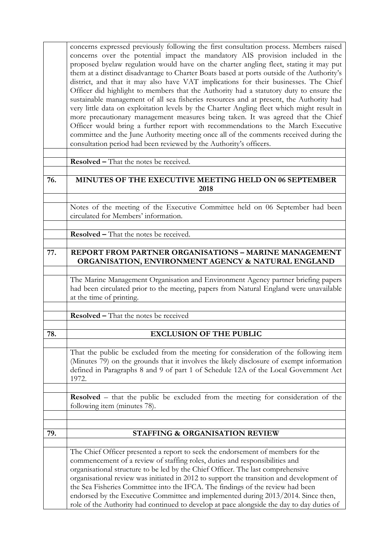|     | concerns expressed previously following the first consultation process. Members raised     |
|-----|--------------------------------------------------------------------------------------------|
|     | concerns over the potential impact the mandatory AIS provision included in the             |
|     | proposed byelaw regulation would have on the charter angling fleet, stating it may put     |
|     | them at a distinct disadvantage to Charter Boats based at ports outside of the Authority's |
|     | district, and that it may also have VAT implications for their businesses. The Chief       |
|     |                                                                                            |
|     | Officer did highlight to members that the Authority had a statutory duty to ensure the     |
|     | sustainable management of all sea fisheries resources and at present, the Authority had    |
|     | very little data on exploitation levels by the Charter Angling fleet which might result in |
|     | more precautionary management measures being taken. It was agreed that the Chief           |
|     | Officer would bring a further report with recommendations to the March Executive           |
|     | committee and the June Authority meeting once all of the comments received during the      |
|     | consultation period had been reviewed by the Authority's officers.                         |
|     |                                                                                            |
|     | Resolved - That the notes be received.                                                     |
|     |                                                                                            |
| 76. | MINUTES OF THE EXECUTIVE MEETING HELD ON 06 SEPTEMBER                                      |
|     | 2018                                                                                       |
|     |                                                                                            |
|     | Notes of the meeting of the Executive Committee held on 06 September had been              |
|     | circulated for Members' information.                                                       |
|     |                                                                                            |
|     | <b>Resolved - That the notes be received.</b>                                              |
|     |                                                                                            |
| 77. | <b>REPORT FROM PARTNER ORGANISATIONS - MARINE MANAGEMENT</b>                               |
|     | ORGANISATION, ENVIRONMENT AGENCY & NATURAL ENGLAND                                         |
|     |                                                                                            |
|     | The Marine Management Organisation and Environment Agency partner briefing papers          |
|     | had been circulated prior to the meeting, papers from Natural England were unavailable     |
|     | at the time of printing.                                                                   |
|     |                                                                                            |
|     | Resolved - That the notes be received                                                      |
|     |                                                                                            |
| 78. | <b>EXCLUSION OF THE PUBLIC</b>                                                             |
|     |                                                                                            |
|     | That the public be excluded from the meeting for consideration of the following item       |
|     | (Minutes 79) on the grounds that it involves the likely disclosure of exempt information   |
|     | defined in Paragraphs 8 and 9 of part 1 of Schedule 12A of the Local Government Act        |
|     | 1972.                                                                                      |
|     |                                                                                            |
|     | Resolved - that the public be excluded from the meeting for consideration of the           |
|     | following item (minutes 78).                                                               |
|     |                                                                                            |
|     |                                                                                            |
| 79. | <b>STAFFING &amp; ORGANISATION REVIEW</b>                                                  |
|     |                                                                                            |
|     | The Chief Officer presented a report to seek the endorsement of members for the            |
|     | commencement of a review of staffing roles, duties and responsibilities and                |
|     | organisational structure to be led by the Chief Officer. The last comprehensive            |
|     | organisational review was initiated in 2012 to support the transition and development of   |
|     | the Sea Fisheries Committee into the IFCA. The findings of the review had been             |
|     | endorsed by the Executive Committee and implemented during 2013/2014. Since then,          |
|     | role of the Authority had continued to develop at pace alongside the day to day duties of  |